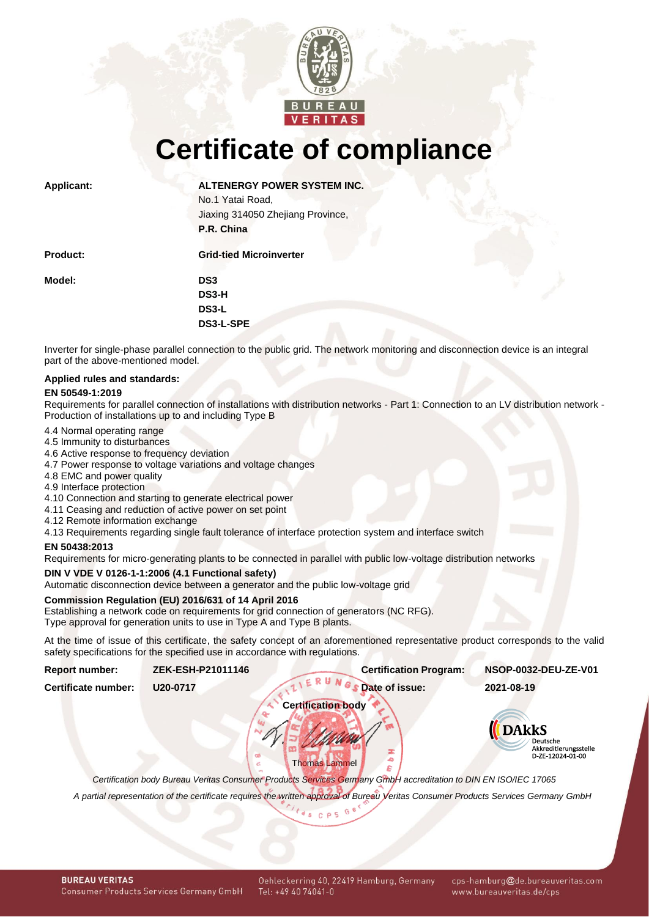

**Certificate of compliance**

**Applicant: ALTENERGY POWER SYSTEM INC.**

No.1 Yatai Road, Jiaxing 314050 Zhejiang Province, **P.R. China**

| <b>Product:</b> | <b>Grid-tied Microinverter</b> |
|-----------------|--------------------------------|
| Model:          | DS3                            |
|                 | DS3-H                          |
|                 | DS3-L                          |
|                 | DS3-L-SPE                      |
|                 |                                |

Inverter for single-phase parallel connection to the public grid. The network monitoring and disconnection device is an integral part of the above-mentioned model.

# **Applied rules and standards:**

### **EN 50549-1:2019**

Requirements for parallel connection of installations with distribution networks - Part 1: Connection to an LV distribution network - Production of installations up to and including Type B

- 4.4 Normal operating range
- 4.5 Immunity to disturbances
- 4.6 Active response to frequency deviation
- 4.7 Power response to voltage variations and voltage changes
- 4.8 EMC and power quality
- 4.9 Interface protection
- 4.10 Connection and starting to generate electrical power
- 4.11 Ceasing and reduction of active power on set point
- 4.12 Remote information exchange
- 4.13 Requirements regarding single fault tolerance of interface protection system and interface switch

## **EN 50438:2013**

Requirements for micro-generating plants to be connected in parallel with public low-voltage distribution networks

## **DIN V VDE V 0126-1-1:2006 (4.1 Functional safety)**

Automatic disconnection device between a generator and the public low-voltage grid

## **Commission Regulation (EU) 2016/631 of 14 April 2016**

Establishing a network code on requirements for grid connection of generators (NC RFG). Type approval for generation units to use in Type A and Type B plants.

At the time of issue of this certificate, the safety concept of an aforementioned representative product corresponds to the valid safety specifications for the specified use in accordance with regulations.

<span id="page-0-1"></span><span id="page-0-0"></span>

| <b>Report number:</b> | ZEK-ESH-P21011146 | <b>Certification Program:</b> | NSOP-0032-DEU-ZE-V01                                         |
|-----------------------|-------------------|-------------------------------|--------------------------------------------------------------|
| Certificate number:   | U20-0717          | Date of issue:                | 2021-08-19                                                   |
|                       |                   | <b>Certification body</b>     |                                                              |
|                       |                   |                               | <b>DAkkS</b>                                                 |
|                       |                   | œ                             | <b>Deutsche</b><br>Akkreditierungsstelle<br>D-ZE-12024-01-00 |
|                       |                   | <b>Thomas Lammel</b>          |                                                              |

*Certification body Bureau Veritas Consumer Products Services Germany GmbH accreditation to DIN EN ISO/IEC 17065*

 $t_{ds}$  c p 5

*A partial representation of the certificate requires the written approval of Bureau Veritas Consumer Products Services Germany GmbH*

**BUREAU VERITAS Consumer Products Services Germany GmbH**  Oehleckerring 40, 22419 Hamburg, Germany Tel: +49 40 74041-0

cps-hamburg@de.bureauveritas.com www.bureauveritas.de/cps